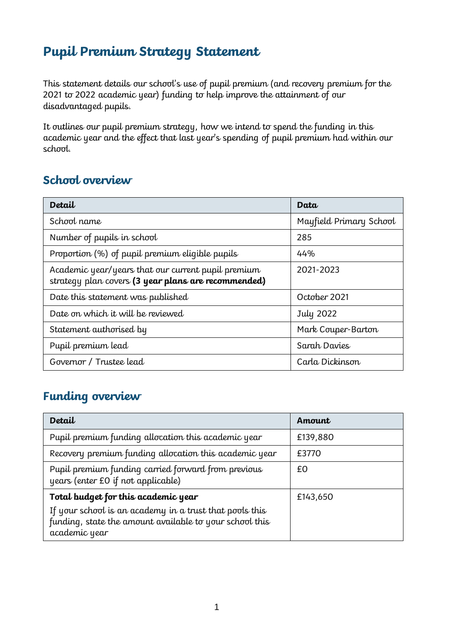# **Pupil Premium Strategy Statement**

This statement details our school's use of pupil premium (and recovery premium for the 2021 to 2022 academic year) funding to help improve the attainment of our disadvantaged pupils.

It outlines our pupil premium strategy, how we intend to spend the funding in this academic year and the effect that last year's spending of pupil premium had within our school.

#### **School overview**

| Detail                                                                                                    | Data                    |
|-----------------------------------------------------------------------------------------------------------|-------------------------|
| School name                                                                                               | Mayfield Primary School |
| Number of pupils in school                                                                                | 285                     |
| Proportion (%) of pupil premium eligible pupils                                                           | 44%                     |
| Academic year/years that our current pupil premium<br>strategy plan covers (3 year plans are recommended) | 2021-2023               |
| Date this statement was published                                                                         | October 2021            |
| Date on which it will be reviewed                                                                         | July 2022               |
| Statement authorised by                                                                                   | Mark Couper-Barton      |
| Pupil premium lead                                                                                        | Sarah Davies            |
| Governor / Trustee lead                                                                                   | Carla Dickinson         |

#### **Funding overview**

| Detail                                                                                                                              | Amount   |
|-------------------------------------------------------------------------------------------------------------------------------------|----------|
| Pupil premium funding allocation this academic year                                                                                 | £139,880 |
| Recovery premium funding allocation this academic year                                                                              | £3770    |
| Pupil premium funding carried forward from previous<br>years (enter £0 if not applicable)                                           | £0       |
| Total budget for this academic year                                                                                                 | £143,650 |
| If your school is an academy in a trust that pools this<br>funding, state the amount available to your school this<br>academic year |          |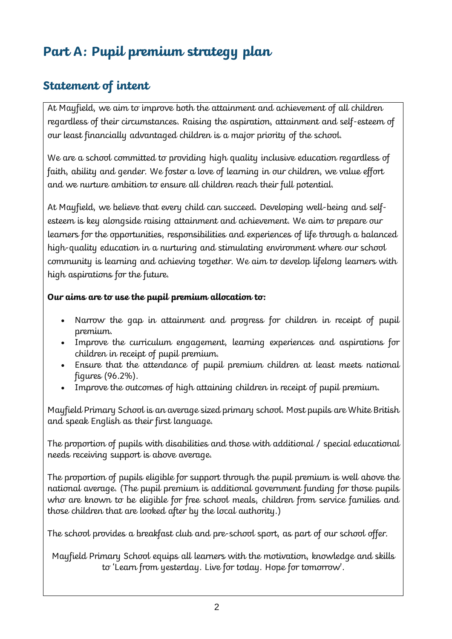# **Part A: Pupil premium strategy plan**

# **Statement of intent**

At Mayfield, we aim to improve both the attainment and achievement of all children regardless of their circumstances. Raising the aspiration, attainment and self-esteem of our least financially advantaged children is a major priority of the school.

We are a school committed to providing high quality inclusive education regardless of faith, ability and gender. We foster a love of learning in our children, we value effort and we nurture ambition to ensure all children reach their full potential.

At Mayfield, we believe that every child can succeed. Developing well-being and selfesteem is key alongside raising attainment and achievement. We aim to prepare our learners for the opportunities, responsibilities and experiences of life through a balanced high-quality education in a nurturing and stimulating environment where our school community is learning and achieving together. We aim to develop lifelong learners with high aspirations for the future.

#### **Our aims are to use the pupil premium allocation to:**

- Narrow the gap in attainment and progress for children in receipt of pupil premium.
- Improve the curriculum engagement, learning experiences and aspirations for children in receipt of pupil premium.
- Ensure that the attendance of pupil premium children at least meets national figures (96.2%).
- Improve the outcomes of high attaining children in receipt of pupil premium.

Mayfield Primary School is an average sized primary school. Most pupils are White British and speak English as their first language.

The proportion of pupils with disabilities and those with additional / special educational needs receiving support is above average.

The proportion of pupils eligible for support through the pupil premium is well above the national average. (The pupil premium is additional government funding for those pupils who are known to be eligible for free school meals, children from service families and those children that are looked after by the local authority.)

The school provides a breakfast club and pre-school sport, as part of our school offer.

Mayfield Primary School equips all learners with the motivation, knowledge and skills to 'Learn from yesterday. Live for today. Hope for tomorrow'.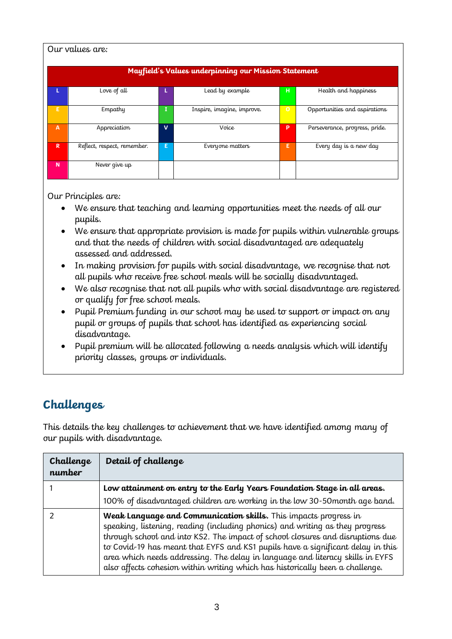| Our values are:                                      |                             |    |                            |          |                                |
|------------------------------------------------------|-----------------------------|----|----------------------------|----------|--------------------------------|
| Mayfield's Values underpinning our Mission Statement |                             |    |                            |          |                                |
| L                                                    | Love of all                 | L. | Lead by example            | н.       | Health and happiness           |
| E                                                    | Empathy                     | I  | Inspire, imagine, improve. | $\Omega$ | Opportunities and aspirations  |
| $\mathsf{A}$                                         | Appreciation                | v  | Voice                      | P        | Perseverance, progress, pride. |
| $\mathbb{R}$                                         | Reflect, respect, remember. | Е  | Everyone matters           | E        | Every day is a new day         |
| N                                                    | Never give up               |    |                            |          |                                |

Our Principles are:

- We ensure that teaching and learning opportunities meet the needs of all our pupils.
- We ensure that appropriate provision is made for pupils within vulnerable groups and that the needs of children with social disadvantaged are adequately assessed and addressed.
- In making provision for pupils with social disadvantage, we recognise that not all pupils who receive free school meals will be socially disadvantaged.
- We also recognise that not all pupils who with social disadvantage are registered or qualify for free school meals.
- Pupil Premium funding in our school may be used to support or impact on any pupil or groups of pupils that school has identified as experiencing social disadvantage.
- Pupil premium will be allocated following a needs analysis which will identify priority classes, groups or individuals.

#### **Challenges**

This details the key challenges to achievement that we have identified among many of our pupils with disadvantage.

| Challenge<br>number | Detail of challenge                                                                                                                                                                                                                                                                                                                                                                                                                                                                       |
|---------------------|-------------------------------------------------------------------------------------------------------------------------------------------------------------------------------------------------------------------------------------------------------------------------------------------------------------------------------------------------------------------------------------------------------------------------------------------------------------------------------------------|
|                     | Low attainment on entry to the Early Years Foundation Stage in all areas.                                                                                                                                                                                                                                                                                                                                                                                                                 |
|                     | 100% of disadvantaged children are working in the low 30-50 month age band.                                                                                                                                                                                                                                                                                                                                                                                                               |
|                     | Weak Lanquage and Communication skills. This impacts progress in<br>speaking, listening, reading (including phonics) and writing as they progress<br>through school and into KS2. The impact of school closures and disruptions due<br>to Covid-19 has meant that EYFS and KS1 pupils have a significant delay in this<br>area which needs addressing. The delay in language and literacy skills in EYFS<br>also affects cohesion within writing which has historically been a challenge. |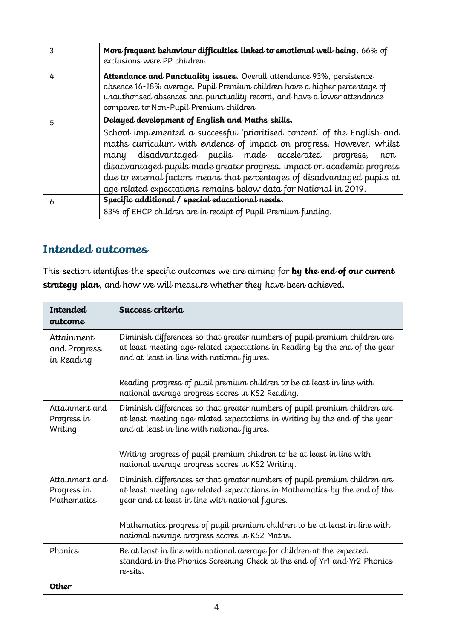|   | More frequent behaviour difficulties linked to emotional well-being. 66% of<br>exclusions were PP children.                                                                                                                                                                                                                                                                                                                                                                                           |
|---|-------------------------------------------------------------------------------------------------------------------------------------------------------------------------------------------------------------------------------------------------------------------------------------------------------------------------------------------------------------------------------------------------------------------------------------------------------------------------------------------------------|
| 4 | Attendance and Punctuality issues. Overall attendance 93%, persistence<br>absence 16-18% average. Pupil Premium children have a higher percentage of<br>unauthorised absences and punctuality record, and have a lower attendance<br>compared to Non-Pupil Premium children.                                                                                                                                                                                                                          |
| 5 | Delayed development of English and Maths skills.<br>School implemented a successful 'prioritised content' of the English and<br>maths curriculum with evidence of impact on progress. However, whilst<br>disadvantaged pupils made accelerated progress,<br>many<br>non-<br>disadvantaged pupils made greater progress. impact on academic progress<br>due to external factors means that percentages of disadvantaged pupils at<br>age related expectations remains below data for National in 2019. |
| 6 | Specific additional / special educational needs.<br>83% of EHCP children are in receipt of Pupil Premium funding.                                                                                                                                                                                                                                                                                                                                                                                     |

#### **Intended outcomes**

This section identifies the specific outcomes we are aiming for **by the end of our current strategy plan**, and how we will measure whether they have been achieved.

| Intended<br>outcome                                 | Success criteria                                                                                                                                                                                             |
|-----------------------------------------------------|--------------------------------------------------------------------------------------------------------------------------------------------------------------------------------------------------------------|
| Attainment<br>and Progress<br>in Reading            | Diminish differences so that greater numbers of pupil premium children are<br>at least meeting age-related expectations in Reading by the end of the year<br>and at least in line with national figures.     |
|                                                     | Reading progress of pupil premium children to be at least in line with<br>national average progress scores in KS2 Reading.                                                                                   |
| Attainment and<br>Progress in<br>Writing            | Diminish differences so that greater numbers of pupil premium children are<br>at least meeting age-related expectations in Writing by the end of the year<br>and at least in line with national figures.     |
|                                                     | Writing progress of pupil premium children to be at least in line with<br>national average progress scores in KS2 Writing.                                                                                   |
| Attainment and<br>Progress in<br><b>Mathematics</b> | Diminish differences so that greater numbers of pupil premium children are<br>at least meeting age-related expectations in Mathematics by the end of the<br>year and at least in line with national figures. |
|                                                     | Mathematics progress of pupil premium children to be at least in line with<br>national average progress scores in KS2 Maths.                                                                                 |
| Phonics                                             | Be at least in line with national average for children at the expected<br>standard in the Phonics Screening Check at the end of Yr1 and Yr2 Phonics<br>re-sits.                                              |
| Other                                               |                                                                                                                                                                                                              |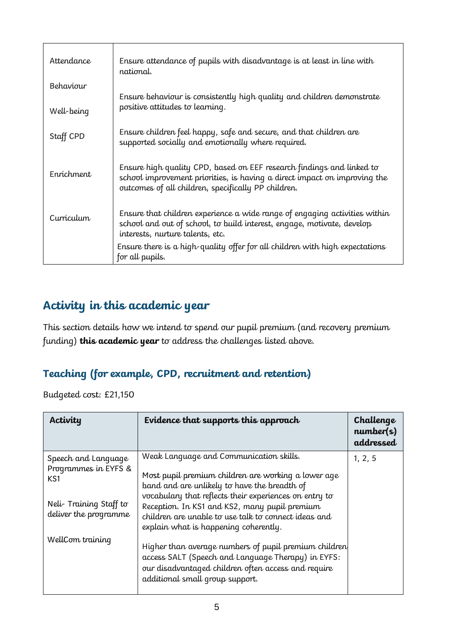| <i><u>Attendance</u></i> | Ensure attendance of pupils with disadvantage is at least in line with<br>national.                                                                                                                       |
|--------------------------|-----------------------------------------------------------------------------------------------------------------------------------------------------------------------------------------------------------|
| Behaviour                | Ensure behaviour is consistently high quality and children demonstrate                                                                                                                                    |
| Well-being               | positive attitudes to learning.                                                                                                                                                                           |
| Staff CPD                | Ensure children feel happy, safe and secure, and that children are<br>supported socially and emotionally where required.                                                                                  |
| Enrichment               | Ensure high quality CPD, based on EEF research findings and linked to<br>school improvement priorities, is having a direct impact on improving the<br>outcomes of all children, specifically PP children. |
| Curriculum               | Ensure that children experience a wide range of engaging activities within<br>school and out of school, to build interest, engage, motivate, develop<br>interests, nurture talents, etc.                  |
|                          | Ensure there is a high-quality offer for all children with high expectations<br>for all pupils.                                                                                                           |

### **Activity in this academic year**

This section details how we intend to spend our pupil premium (and recovery premium funding) **this academic year** to address the challenges listed above.

#### **Teaching (for example, CPD, recruitment and retention)**

Budgeted cost: £21,150

| Activity                                           | Evidence that supports this approach                                                                                                                                                                     | Challenge<br>number(s)<br>addressed |
|----------------------------------------------------|----------------------------------------------------------------------------------------------------------------------------------------------------------------------------------------------------------|-------------------------------------|
| Speech and Language<br>Programmes in EYFS &<br>KS1 | Weak Language and Communication skills.<br>Most pupil premium children are working a lower age<br>band and are unlikely to have the breadth of                                                           | 1, 2, 5                             |
| Neli-Training Staff to<br>deliver the programme    | vocabulary that reflects their experiences on entry to<br>Reception. In KS1 and KS2, many pupil premium<br>children are unable to use talk to connect ideas and<br>explain what is happening coherently. |                                     |
| WellCom training                                   | Higher than average numbers of pupil premium children<br>access SALT (Speech and Language Therapy) in EYFS:<br>our disadvantaged children often access and require<br>additional small group support.    |                                     |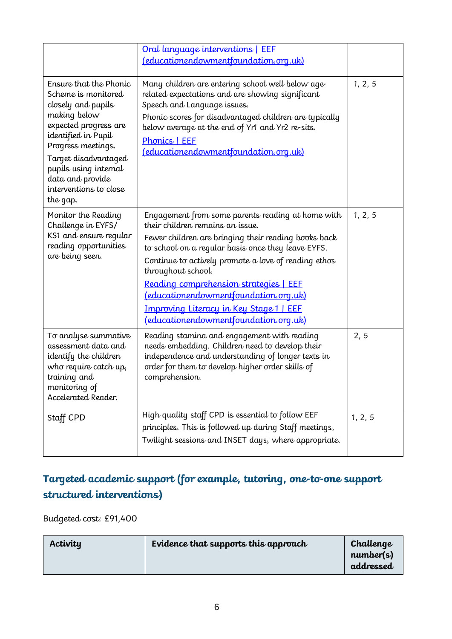|                                                                                                                                                                                                                                                                      | Oral language interventions   EEF<br>(educationendowmentfoundation.org.uk)                                                                                                                                                                                                                                                                                                                                                                                             |         |
|----------------------------------------------------------------------------------------------------------------------------------------------------------------------------------------------------------------------------------------------------------------------|------------------------------------------------------------------------------------------------------------------------------------------------------------------------------------------------------------------------------------------------------------------------------------------------------------------------------------------------------------------------------------------------------------------------------------------------------------------------|---------|
| Ensure that the Phonic<br>Scheme is monitored<br>closely and pupils<br>making below<br>expected progress are<br>identified in Pupil<br>Progress meetings.<br>Target disadvantaged<br>pupils using internal<br>data and provide<br>interventions to close<br>the gap. | Many children are entering school well below age-<br>related expectations and are showing significant<br>Speech and Language issues.<br>Phonic scores for disadvantaged children are typically<br>below average at the end of Yr1 and Yr2 re-sits.<br>Phonics   EEF<br>(educationendowmentfoundation.org.uk)                                                                                                                                                           | 1, 2, 5 |
| Monitor the Reading<br>Challenge in EYFS/<br>KS1 and ensure reqular<br>reading opportunities<br>are being seen.                                                                                                                                                      | Engagement from some parents reading at home with<br>their children remains an issue.<br>Fewer children are bringing their reading books back<br>to school on a reqular basis once they leave EYFS.<br>Continue to actively promote a love of reading ethos<br>throughout school.<br>Reading comprehension strategies   EEF<br><u>(educationendowmentfoundation.org.uk)</u><br><b>Improving Literacy in Key Stage 1   EEF</b><br>(educationendowmentfoundation.org.uk) | 1, 2, 5 |
| To analyse summative<br>assessment data and<br>identify the children<br>who require catch up,<br>training and<br>monitoring of<br>Accelerated Reader.                                                                                                                | Reading stamina and engagement with reading<br>needs embedding. Children need to develop their<br>independence and understanding of longer texts in<br>order for them to develop higher order skills of<br>comprehension.                                                                                                                                                                                                                                              | 2, 5    |
| Staff CPD                                                                                                                                                                                                                                                            | High quality staff CPD is essential to follow EEF<br>principles. This is followed up during Staff meetings,<br>Twilight sessions and INSET days, where appropriate.                                                                                                                                                                                                                                                                                                    | 1, 2, 5 |

### **Targeted academic support (for example, tutoring, one-to-one support structured interventions)**

Budgeted cost: £91,400

| Activity | Evidence that supports this approach | Challenge<br>number(s)<br>addressed |
|----------|--------------------------------------|-------------------------------------|
|----------|--------------------------------------|-------------------------------------|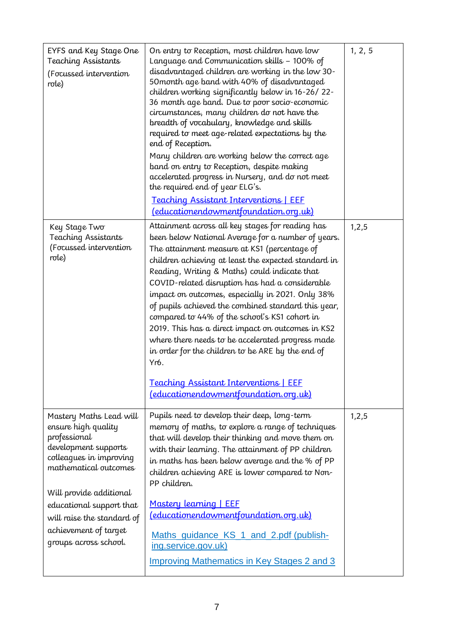| EYFS and Key Stage One<br><b>Teaching Assistants</b><br>(Focussed intervention<br>role)                                                                                                                                                                                           | On entry to Reception, most children have low<br>Language and Communication skills - 100% of<br>disadvantaged children are working in the low 30-<br>50 month age band with 40% of disadvantaged<br>children working significantly below in 16-26/22-<br>36 month age band. Due to poor socio-economic<br>circumstances, many children do not have the<br>breadth of vocabulary, knowledge and skills<br>required to meet age-related expectations by the<br>end of Reception.<br>Many children are working below the correct age<br>band on entry to Reception, despite making<br>accelerated progress in Nursery, and do not meet<br>the required end of year ELG's.<br><b>Teaching Assistant Interventions   EEF</b><br><u>(educationendowmentfoundation.org.uk)</u> | 1, 2, 5 |
|-----------------------------------------------------------------------------------------------------------------------------------------------------------------------------------------------------------------------------------------------------------------------------------|-------------------------------------------------------------------------------------------------------------------------------------------------------------------------------------------------------------------------------------------------------------------------------------------------------------------------------------------------------------------------------------------------------------------------------------------------------------------------------------------------------------------------------------------------------------------------------------------------------------------------------------------------------------------------------------------------------------------------------------------------------------------------|---------|
| Key Stage Two<br><b>Teaching Assistants</b><br>(Focussed intervention<br>role)                                                                                                                                                                                                    | Attainment across all key stages for reading has<br>been below National Average for a number of years.<br>The attainment measure at KS1 (percentage of<br>children achieving at least the expected standard in<br>Reading, Writing & Maths) could indicate that<br>COVID-related disruption has had a considerable<br>impact on outcomes, especially in 2021. Only 38%<br>of pupils achieved the combined standard this year,<br>compared to 44% of the school's KS1 cohort in<br>2019. This has a direct impact on outcomes in KS2<br>where there needs to be accelerated progress made<br>in order for the children to be ARE by the end of<br>Yr6.<br>Teaching Assistant Interventions   EEF<br><u>(educationendowmentfoundation.org.uk)</u>                         | 1, 2, 5 |
| Mastery Maths Lead will<br>ensure high quality<br>professional<br>development supports<br>colleagues in improving<br>mathematical outcomes<br>Will provide additional<br>educational support that<br>will raise the standard of<br>achievement of target<br>groups across school. | Pupils need to develop their deep, long-term<br>memory of maths, to explore a range of techniques<br>that will develop their thinking and move them on<br>with their learning. The attainment of PP children<br>in maths has been below average and the % of PP<br>children achieving ARE is lower compared to Non-<br>PP children.<br>Mastery learning   EEF<br>(educationendowmentfoundation.org.uk)<br>Maths_guidance_KS_1_and_2.pdf (publish-<br>ing.service.gov.uk)<br><b>Improving Mathematics in Key Stages 2 and 3</b>                                                                                                                                                                                                                                          | 1, 2, 5 |
|                                                                                                                                                                                                                                                                                   |                                                                                                                                                                                                                                                                                                                                                                                                                                                                                                                                                                                                                                                                                                                                                                         |         |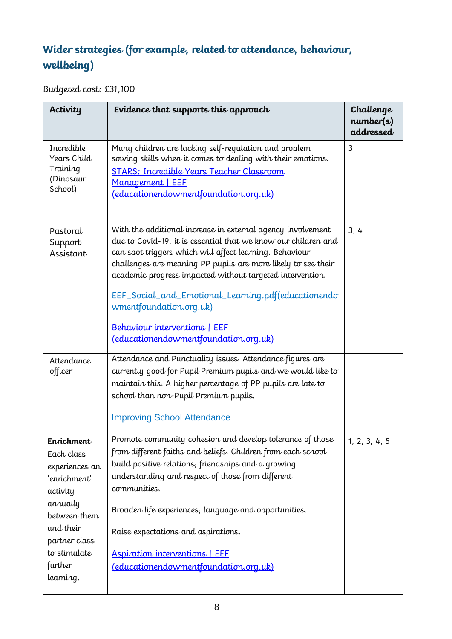# **Wider strategies (for example, related to attendance, behaviour, wellbeing)**

Budgeted cost: £31,100

| Activity                                                                                                                                                                 | Evidence that supports this approach                                                                                                                                                                                                                                                                                                                                                                                                                                                      | Challenge<br>number(s)<br>addressed |
|--------------------------------------------------------------------------------------------------------------------------------------------------------------------------|-------------------------------------------------------------------------------------------------------------------------------------------------------------------------------------------------------------------------------------------------------------------------------------------------------------------------------------------------------------------------------------------------------------------------------------------------------------------------------------------|-------------------------------------|
| Incredible<br>Years Child<br>Training<br>(Dinosaur<br>School)                                                                                                            | Many children are lacking self-requlation and problem<br>solving skills when it comes to dealing with their emotions.<br><b>STARS: Incredible Years Teacher Classroom</b><br>Management   EEF<br>(educationendowmentfoundation.org.uk)                                                                                                                                                                                                                                                    | 3                                   |
| Pastoral<br>Support<br>Assistant                                                                                                                                         | With the additional increase in external agency involvement<br>due to Covid-19, it is essential that we know our children and<br>can spot triggers which will affect learning. Behaviour<br>challenges are meaning PP pupils are more likely to see their<br>academic progress impacted without targeted intervention.<br>EEF_Social_and_Emotional_Learning.pdf(educationendo<br>wmentfoundation.org.uk)<br>Behaviour interventions   EEF<br><u>(educationendowmentfoundation.org.uk)</u> | 3, 4                                |
| Attendance<br>officer                                                                                                                                                    | Attendance and Punctuality issues. Attendance figures are<br>currently good for Pupil Premium pupils and we would like to<br>maintain this. A higher percentage of PP pupils are late to<br>school than non-Pupil Premium pupils.<br><b>Improving School Attendance</b>                                                                                                                                                                                                                   |                                     |
| Enrichment<br>Each class<br>experiences an<br>'enrichment'<br>activity<br>annually<br>between them<br>and their<br>partner class<br>to stimulate<br>further<br>learning. | Promote community cohesion and develop tolerance of those<br>from different faiths and beliefs. Children from each school<br>build positive relations, friendships and a growing<br>understanding and respect of those from different<br>communities.<br>Broaden life experiences, language and opportunities.<br>Raise expectations and aspirations.<br>Aspiration interventions   EEF<br>(educationendowmentfoundation.org.uk)                                                          | 1, 2, 3, 4, 5                       |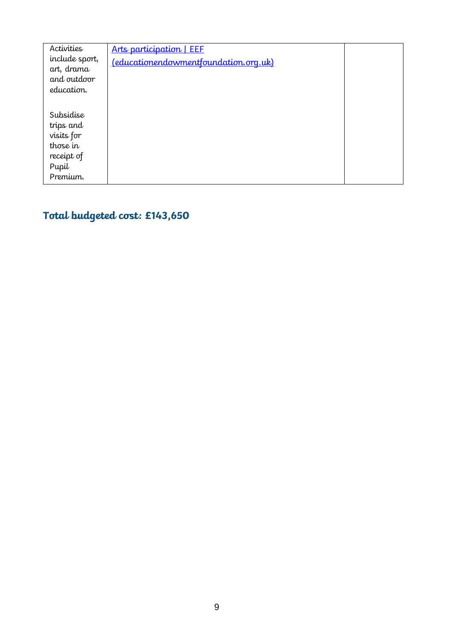| Activities<br>include sport,<br>art, drama<br>and outdoor<br>education.             | Arts participation   EEF<br>(educationendowmentfoundation.org.uk) |  |
|-------------------------------------------------------------------------------------|-------------------------------------------------------------------|--|
| Subsidise<br>trips and<br>visits for<br>those in<br>receipt of<br>Pupil<br>Premium. |                                                                   |  |

# **Total budgeted cost: £143,650**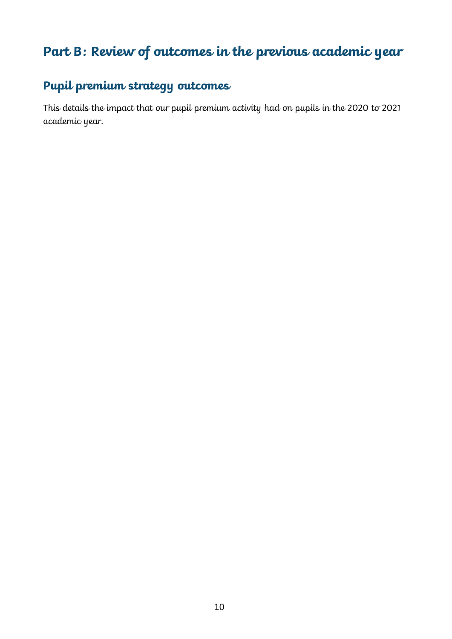# **Part B: Review of outcomes in the previous academic year**

#### **Pupil premium strategy outcomes**

This details the impact that our pupil premium activity had on pupils in the 2020 to 2021 academic year.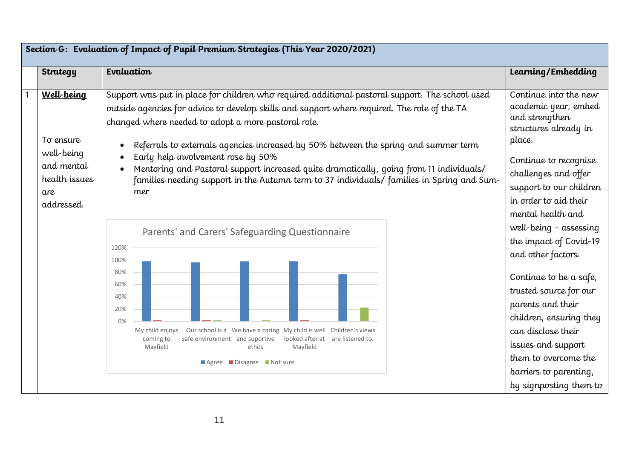|                                                                                           | Section G: Evaluation of Impact of Pupil Premium Strategies (This Year 2020/2021)                                                                                                                                                                                                                                                                                                                                                                                                                                                                                                                                                      |                                                                                                                                                                                                                                                                          |
|-------------------------------------------------------------------------------------------|----------------------------------------------------------------------------------------------------------------------------------------------------------------------------------------------------------------------------------------------------------------------------------------------------------------------------------------------------------------------------------------------------------------------------------------------------------------------------------------------------------------------------------------------------------------------------------------------------------------------------------------|--------------------------------------------------------------------------------------------------------------------------------------------------------------------------------------------------------------------------------------------------------------------------|
| <b>Strategy</b>                                                                           | Evaluation                                                                                                                                                                                                                                                                                                                                                                                                                                                                                                                                                                                                                             | Learning/Embedding                                                                                                                                                                                                                                                       |
| Well-being<br>To ensure<br>well-being<br>and mental<br>health issues<br>are<br>addressed. | Support was put in place for children who required additional pastoral support. The school used<br>outside agencies for advice to develop skills and support where required. The role of the TA<br>changed where needed to adopt a more pastoral role.<br>Referrals to externals agencies increased by 50% between the spring and summer term<br>Early help involvement rose by 50%<br>Mentoring and Pastoral support increased quite dramatically, going from 11 individuals/<br>families needing support in the Autumn term to 37 individuals/ families in Spring and Sum-<br>mer<br>Parents' and Carers' Safeguarding Questionnaire | Continue into the new<br>academic year, embed<br>and strengthen<br>structures already in<br>place.<br>Continue to recognise<br>challenges and offer<br>support to our children<br>in order to aid their<br>mental health and<br>well-being - assessing                   |
|                                                                                           | 120%<br>100%<br>80%<br>60%<br>40%<br>20%<br>0%<br>Our school is a We have a caring My child is well Children's views<br>My child enjoys<br>looked after at are listened to.<br>safe environment and suportive<br>coming to<br>Mayfield<br>ethos<br>Mayfield<br>$\blacksquare$ Agree $\blacksquare$ Disagree $\blacksquare$ Not sure                                                                                                                                                                                                                                                                                                    | the impact of Covid-19<br>and other factors.<br>Continue to be a safe,<br>trusted source for our<br>parents and their<br>children, ensuring they<br>can disclose their<br>issues and support<br>them to overcome the<br>barriers to parenting,<br>by signposting them to |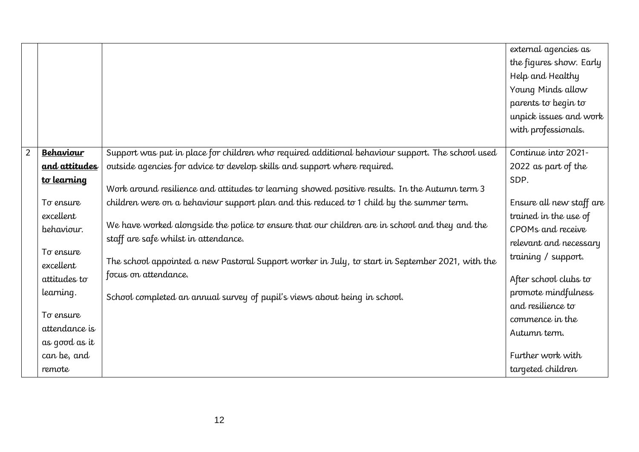|                |                  |                                                                                                  | external agencies as     |
|----------------|------------------|--------------------------------------------------------------------------------------------------|--------------------------|
|                |                  |                                                                                                  | the figures show. Early  |
|                |                  |                                                                                                  | Help and Healthy         |
|                |                  |                                                                                                  | Young Minds allow        |
|                |                  |                                                                                                  | parents to begin to      |
|                |                  |                                                                                                  | unpick issues and work   |
|                |                  |                                                                                                  | with professionals.      |
|                |                  |                                                                                                  |                          |
| $\overline{2}$ | <b>Behaviour</b> | Support was put in place for children who required additional behaviour support. The school used | Continue into 2021-      |
|                | and attitudes    | outside agencies for advice to develop skills and support where required.                        | 2022 as part of the      |
|                | to learning      |                                                                                                  | SDP.                     |
|                |                  | Work around resilience and attitudes to learning showed positive results. In the Autumn term 3   |                          |
|                | To ensure        | children were on a behaviour support plan and this reduced to 1 child by the summer term.        | Ensure all new staff are |
|                | excellent        |                                                                                                  | trained in the use of    |
|                | behaviour.       | We have worked alongside the police to ensure that our children are in school and they and the   | CPOMs and receive        |
|                |                  | staff are safe whilst in attendance.                                                             | relevant and necessary   |
|                | To ensure        | The school appointed a new Pastoral Support worker in July, to start in September 2021, with the | training / support.      |
|                | excellent        |                                                                                                  |                          |
|                | attitudes to     | focus on attendance.                                                                             | After school clubs to    |
|                | learning.        | School completed an annual survey of pupil's views about being in school.                        | promote mindfulness      |
|                |                  |                                                                                                  | and resilience to        |
|                | To ensure        |                                                                                                  | commence in the          |
|                | attendance is    |                                                                                                  | Autumn term.             |
|                | as good as it    |                                                                                                  |                          |
|                | can be, and      |                                                                                                  | Further work with        |
|                | remote           |                                                                                                  | targeted children        |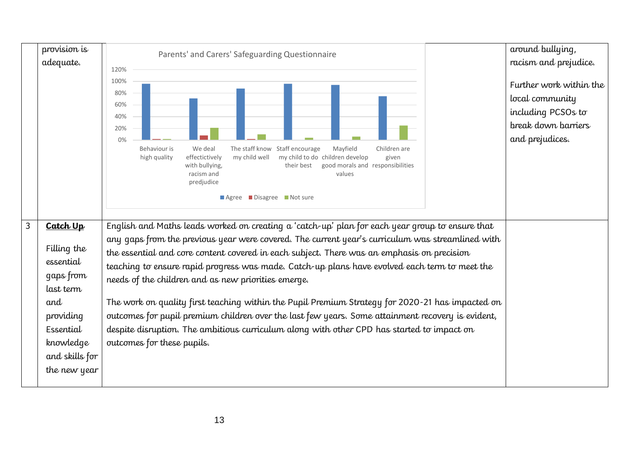|   | provision is                                                                        | Parents' and Carers' Safeguarding Questionnaire                                                                                                                                                                                                                                                                                                                                                                                                                                                                                                                                                                                                               | around bullying,                                                                                           |
|---|-------------------------------------------------------------------------------------|---------------------------------------------------------------------------------------------------------------------------------------------------------------------------------------------------------------------------------------------------------------------------------------------------------------------------------------------------------------------------------------------------------------------------------------------------------------------------------------------------------------------------------------------------------------------------------------------------------------------------------------------------------------|------------------------------------------------------------------------------------------------------------|
|   | adequate.                                                                           | 120%                                                                                                                                                                                                                                                                                                                                                                                                                                                                                                                                                                                                                                                          | racism and prejudice.                                                                                      |
|   |                                                                                     | 100%<br>80%<br>60%<br>40%<br>20%<br>0%<br>Staff encourage<br>Behaviour is<br>The staff know<br>Mayfield<br>Children are<br>We deal<br>my child well<br>my child to do children develop<br>high quality<br>effectictively<br>given<br>their best<br>good morals and responsibilities<br>with bullying,<br>racism and<br>values<br>predjudice<br>Agree Disagree Not sure                                                                                                                                                                                                                                                                                        | Further work within the<br>local community<br>including PCSOs to<br>break down barriers<br>and prejudices. |
| 3 | Catch Up                                                                            | English and Maths leads worked on creating a 'catch-up' plan for each year group to ensure that                                                                                                                                                                                                                                                                                                                                                                                                                                                                                                                                                               |                                                                                                            |
|   | Filling the<br>essential<br>gaps from<br>last term<br>and<br>providing<br>Essential | any gaps from the previous year were covered. The current year's curriculum was streamlined with<br>the essential and core content covered in each subject. There was an emphasis on precision<br>teaching to ensure rapid progress was made. Catch-up plans have evolved each term to meet the<br>needs of the children and as new priorities emerge.<br>The work on quality first teaching within the Pupil Premium Strategy for 2020-21 has impacted on<br>outcomes for pupil premium children over the last few years. Some attainment recovery is evident,<br>despite disruption. The ambitious curriculum along with other CPD has started to impact on |                                                                                                            |
|   | knowledge<br>and skills for<br>the new year                                         | outcomes for these pupils.                                                                                                                                                                                                                                                                                                                                                                                                                                                                                                                                                                                                                                    |                                                                                                            |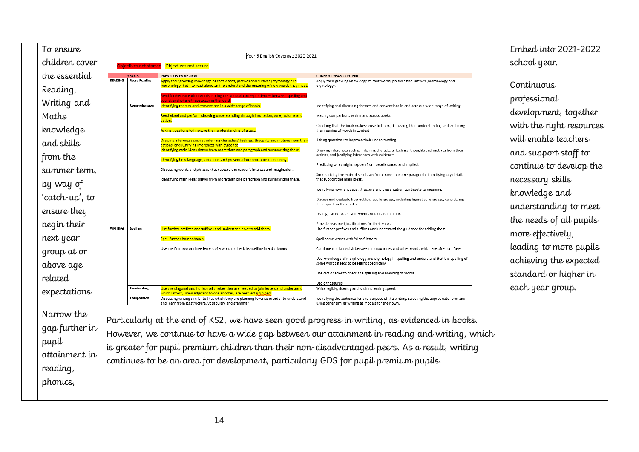| To ensure                                                                                                                                                                                                                  |                                  |                                                                                        |                                                                                                                                                                                                                                                                                                                                                                                                                                                                                                                                                                                                                                                                                                                                                                                                                                                                                                                                                                                                                                                                                                                                                                                                                                                                                           |                                                                                                                                                                                                                                                                                                                                                                                                                                                                                                                                                                                                                                                                                                                                                                                                                                                                                                                                                                                                                                                                                                                                                                                                                                                                                                                                                                                                                                                                                                                                                                                                                                           | Embed into 2021-2022                                                                                                                                                                                                                                                                                                                                                      |
|----------------------------------------------------------------------------------------------------------------------------------------------------------------------------------------------------------------------------|----------------------------------|----------------------------------------------------------------------------------------|-------------------------------------------------------------------------------------------------------------------------------------------------------------------------------------------------------------------------------------------------------------------------------------------------------------------------------------------------------------------------------------------------------------------------------------------------------------------------------------------------------------------------------------------------------------------------------------------------------------------------------------------------------------------------------------------------------------------------------------------------------------------------------------------------------------------------------------------------------------------------------------------------------------------------------------------------------------------------------------------------------------------------------------------------------------------------------------------------------------------------------------------------------------------------------------------------------------------------------------------------------------------------------------------|-------------------------------------------------------------------------------------------------------------------------------------------------------------------------------------------------------------------------------------------------------------------------------------------------------------------------------------------------------------------------------------------------------------------------------------------------------------------------------------------------------------------------------------------------------------------------------------------------------------------------------------------------------------------------------------------------------------------------------------------------------------------------------------------------------------------------------------------------------------------------------------------------------------------------------------------------------------------------------------------------------------------------------------------------------------------------------------------------------------------------------------------------------------------------------------------------------------------------------------------------------------------------------------------------------------------------------------------------------------------------------------------------------------------------------------------------------------------------------------------------------------------------------------------------------------------------------------------------------------------------------------------|---------------------------------------------------------------------------------------------------------------------------------------------------------------------------------------------------------------------------------------------------------------------------------------------------------------------------------------------------------------------------|
| children cover                                                                                                                                                                                                             |                                  |                                                                                        | Objectives not secure                                                                                                                                                                                                                                                                                                                                                                                                                                                                                                                                                                                                                                                                                                                                                                                                                                                                                                                                                                                                                                                                                                                                                                                                                                                                     |                                                                                                                                                                                                                                                                                                                                                                                                                                                                                                                                                                                                                                                                                                                                                                                                                                                                                                                                                                                                                                                                                                                                                                                                                                                                                                                                                                                                                                                                                                                                                                                                                                           | school year.                                                                                                                                                                                                                                                                                                                                                              |
| the essential<br>Reading,<br>Writing and<br>Maths<br>knowledge<br>and skills<br>from the<br>summer term,<br>by way of<br>'catch-up', to<br>ensure they<br>begin their<br>next year<br>group at or<br>above age-<br>related | <b>READING</b><br><b>WRITING</b> | <b>YEAR5</b><br><b>Word Reading</b><br>Comprehension<br>Spelling<br><b>Handwritins</b> | Year 5 English Coverage 2020-2021<br>PREVIOUS YR REVIEW<br>Apply their growing knowledge of root words, prefixes and suffixes (etymology and<br>morphology) both to read aloud and to understand the meaning of new words they meet.<br>nd land where these occur in the wo<br>Identifying themes and conventions in a wide range of books.<br>Read aloud and perform showing understanding through intonation, tone, volume and<br>action.<br>Asking questions to improve their understanding of a text.<br>Drawing inferences such as inferring characters' feelings, thoughts and motives from their<br>actions, and justifying inferences with evidence<br>Identifying main ideas drawn from more than one paragraph and summarising these.<br>Identifying how language, structure, and presentation contribute to meaning.<br>Discussing words and phrases that capture the reader's interest and imagination.<br>Identifying main ideas drawn from more than one paragraph and summarising these.<br>Use further prefixes and suffixes and understand how to add them.<br>Spell further homophones<br>Use the first two or three letters of a word to check its spelling in a dictionary.<br>Use the diagonal and horizontal strokes that are needed to join letters and understand | <b>CURRENT YEAR CONTENT</b><br>Apply their growing knowledge of root words, prefixes and suffixes (morphology and<br>etymology).<br>Identifying and discussing themes and conventions in and across a wide range of writing<br>Making comparisons within and across books.<br>Checking that the book makes sense to them, discussing their understanding and exploring<br>the meaning of words in context.<br>Asking questions to improve their understanding<br>Drawing inferences such as inferring characters' feelings, thoughts and motives from their<br>actions, and justifying inferences with evidence.<br>Predicting what might happen from details stated and implied.<br>Summarising the main ideas drawn from more than one paragraph, identifying key details<br>that support the main ideas.<br>Identifying how language, structure and presentation contribute to meaning.<br>Discuss and evaluate how authors use language, including figurative language, considering<br>the impact on the reader.<br>Distinguish between statements of fact and opinion.<br>Provide reasoned justifications for their views<br>Use further prefixes and suffixes and understand the guidance for adding them.<br>Spell some words with 'silent' letters.<br>Continue to distinguish between homophones and other words which are often confused.<br>Use knowledge of morphology and etymology in spelling and understand that the spelling of<br>some words needs to be learnt specifically.<br>Use dictionaries to check the spelling and meaning of words.<br>Use a thesaurus.<br>Write legibly, fluently and with increasing speed. | Continuous<br>professional<br>development, together<br>with the right resources<br>will enable teachers<br>and support staff to<br>continue to develop the<br>necessary skills<br>knowledge and<br>understanding to meet<br>the needs of all pupils<br>more effectively,<br>leading to more pupils<br>achieving the expected<br>standard or higher in<br>each year group. |
| expectations.<br>Narrow the<br>qap further in<br>pupil<br>attainment in<br>reading,<br>phonics,                                                                                                                            |                                  | Composition                                                                            | which letters, when adjacent to one another, are best left uniqined<br>Discussing writing similar to that which they are planning to write in order to understand<br>and learn from its structure, vocabulary and grammar<br>continues to be an area for development, particularly GDS for pupil premium pupils.                                                                                                                                                                                                                                                                                                                                                                                                                                                                                                                                                                                                                                                                                                                                                                                                                                                                                                                                                                          | Identifying the audience for and purpose of the writing, selecting the appropriate form and<br>using other similar writing as models for their own.<br>Particularly at the end of KS2, we have seen good progress in writing, as evidenced in books.<br>However, we continue to have a wide gap between our attainment in reading and writing, which<br>is greater for pupil premium children than their non-disadvantaged peers. As a result, writing                                                                                                                                                                                                                                                                                                                                                                                                                                                                                                                                                                                                                                                                                                                                                                                                                                                                                                                                                                                                                                                                                                                                                                                    |                                                                                                                                                                                                                                                                                                                                                                           |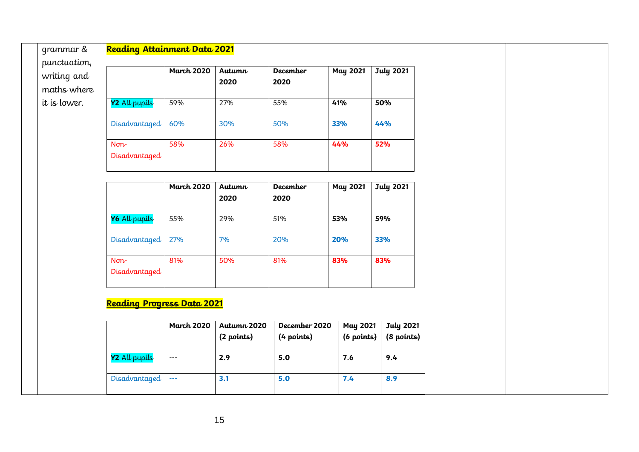| grammar &                                  | Reading Attainment Data 2021      |                   |                |                         |                 |                  |  |
|--------------------------------------------|-----------------------------------|-------------------|----------------|-------------------------|-----------------|------------------|--|
| punctuation,<br>writing and<br>maths where |                                   | <b>March 2020</b> | Autumn<br>2020 | <b>December</b><br>2020 | <b>May 2021</b> | <b>July 2021</b> |  |
| it is lower.                               | Y2 All pupils                     | 59%               | 27%            | 55%                     | 41%             | 50%              |  |
|                                            | Disadvantaged                     | 60%               | 30%            | 50%                     | 33%             | 44%              |  |
|                                            | $\mathsf{Non}$<br>Disadvantaged   | 58%               | 26%            | 58%                     | 44%             | 52%              |  |
|                                            |                                   | <b>March 2020</b> | Autumn<br>2020 | <b>December</b><br>2020 | <b>May 2021</b> | <b>July 2021</b> |  |
|                                            | Y6 All pupils                     | 55%               | 29%            | 51%                     | 53%             | 59%              |  |
|                                            | Disadvantaged                     | 27%               | 7%             | 20%                     | 20%             | 33%              |  |
|                                            | $\mathsf{Non}$<br>Disadvantaged   | 81%               | 50%            | 81%                     | 83%             | 83%              |  |
|                                            | <b>Reading Progress Data 2021</b> | <b>March 2020</b> | Autumn 2020    | December 2020           | <b>May 2021</b> | <b>July 2021</b> |  |
|                                            |                                   |                   | (2 points)     | (4 points)              | (6 points)      | (8 points)       |  |
|                                            | Y2 All pupils                     | $\sim$ $\sim$     | 2.9            | 5.0                     | 7.6             | 9.4              |  |
|                                            | Disadvantaged                     | $\sim$ $\sim$     | 3.1            | 5.0                     | 7.4             | 8.9              |  |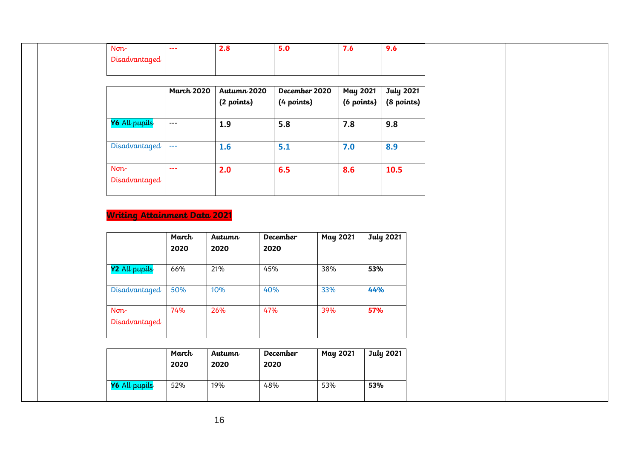| $\mathsf{Non}$                      | $\omega\omega\omega$               | 2.8            | 5.0                     |                 | 7.6             | 9.6              |
|-------------------------------------|------------------------------------|----------------|-------------------------|-----------------|-----------------|------------------|
| Disadvantaged                       |                                    |                |                         |                 |                 |                  |
|                                     |                                    |                |                         |                 |                 |                  |
|                                     |                                    |                |                         |                 |                 |                  |
|                                     | <b>March 2020</b>                  | Autumn 2020    | December 2020           |                 | <b>May 2021</b> | <b>July 2021</b> |
|                                     |                                    | (2 points)     | (4 points)              |                 | (6 points)      | (8 points)       |
| Y6 All pupils                       | $\overline{a}$                     | 1.9            | 5.8                     |                 | 7.8             | 9.8              |
| Disadvantaged                       | $\mathbb{Z} \mathbb{Z} \mathbb{Z}$ | 1.6            | 5.1                     |                 | 7.0             | 8.9              |
| Non-                                | $\omega_{\rm{max}}$                | 2.0            | 6.5                     |                 | 8.6             | 10.5             |
| Disadvantaged                       |                                    |                |                         |                 |                 |                  |
|                                     |                                    |                |                         |                 |                 |                  |
|                                     |                                    |                |                         |                 |                 |                  |
| <b>Writing Attainment Data 2021</b> |                                    |                |                         |                 |                 |                  |
|                                     | March<br>2020                      | Autumn<br>2020 | <b>December</b><br>2020 | <b>May 2021</b> |                 | <b>July 2021</b> |
| Y2 All pupils                       | 66%                                | 21%            | 45%                     | 38%             | 53%             |                  |
| Disadvantaged                       | 50%                                | 10%            | 40%                     | 33%             | 44%             |                  |
| $\mathsf{Non}$                      | 74%                                | 26%            | 47%                     | 39%             | 57%             |                  |
| Disadvantaged                       |                                    |                |                         |                 |                 |                  |
|                                     |                                    |                |                         |                 |                 |                  |
|                                     | March<br>2020                      | Autumn<br>2020 | <b>December</b><br>2020 | <b>May 2021</b> |                 | <b>July 2021</b> |
|                                     |                                    |                |                         |                 |                 |                  |
| Y6 All pupils                       | 52%                                | 19%            | 48%                     | 53%             | 53%             |                  |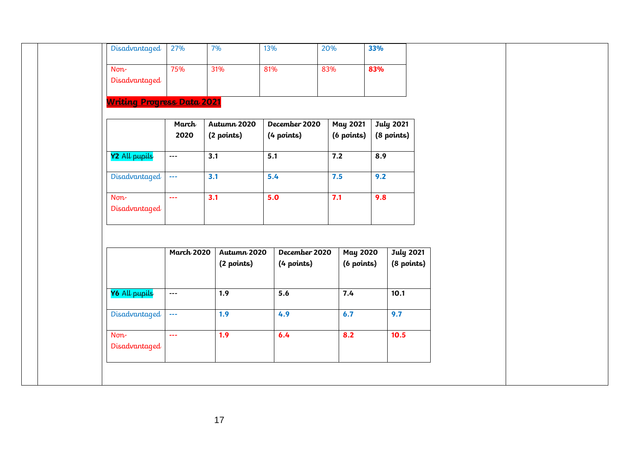| Disadvantaged                     | 27%                                | 7%                        | 13%                         | 20%                           | 33%                            |  |
|-----------------------------------|------------------------------------|---------------------------|-----------------------------|-------------------------------|--------------------------------|--|
| $\mathsf{Non}$<br>Disadvantaged   | 75%                                | 31%                       | 81%                         | 83%                           | 83%                            |  |
| <b>Writing Progress Data 2021</b> |                                    |                           |                             |                               |                                |  |
|                                   | March<br>2020                      | Autumn 2020<br>(2 points) | December 2020<br>(4 points) | <b>May 2021</b><br>(6 points) | <b>July 2021</b><br>(8 points) |  |
| Y2 All pupils                     | $\mathbb{Z} \to \mathbb{Z}$        | 3.1                       | 5.1                         | 7.2                           | 8.9                            |  |
| Disadvantaged                     | $\mathbb{Z} \mathbb{Z} \mathbb{Z}$ | 3.1                       | 5.4                         | 7.5                           | 9.2                            |  |
| $\mathsf{Non}$<br>Disadvantaged   | $\omega_{\rm max}$                 | 3.1                       | 5.0                         | 7.1                           | 9.8                            |  |
|                                   |                                    |                           |                             |                               |                                |  |
|                                   | <b>March 2020</b>                  | Autumn 2020<br>(2 points) | December 2020<br>(4 points) | <b>May 2020</b><br>(6 points) | <b>July 2021</b><br>(8 points) |  |
| Y6 All pupils                     | $\sim$ $\sim$                      | 1.9                       | 5.6                         | 7.4                           | 10.1                           |  |
| Disadvantaged                     | $\omega\omega\omega$               | 1.9                       | 4.9                         | 6.7                           | 9.7                            |  |
| $\mathsf{Non}$<br>Disadvantaged   | $\omega_{\rm{max}}$                | 1.9                       | 6.4                         | 8.2                           | 10.5                           |  |
|                                   |                                    |                           |                             |                               |                                |  |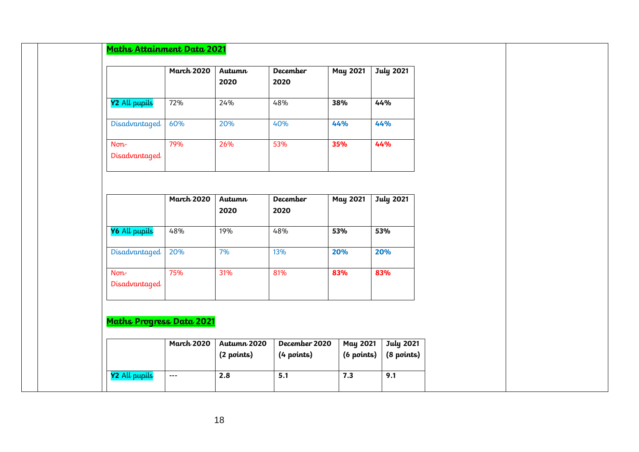|                                 | <b>March 2020</b> | Autumn<br>2020 | <b>December</b><br>2020 | <b>May 2021</b> | <b>July 2021</b> |
|---------------------------------|-------------------|----------------|-------------------------|-----------------|------------------|
| Y2 All pupils                   | 72%               | 24%            | 48%                     | 38%             | 44%              |
| Disadvantaged                   | 60%               | 20%            | 40%                     | 44%             | 44%              |
| $\mathsf{Non}$<br>Disadvantaged | 79%               | 26%            | 53%                     | 35%             | 44%              |
|                                 | <b>March 2020</b> | Autumn         | December                | <b>May 2021</b> | <b>July 2021</b> |
|                                 |                   | 2020           | 2020                    |                 |                  |
| Y6 All pupils                   | 48%               | 19%            | 48%                     | 53%             | 53%              |
| Disadvantaged                   | 20%               | 7%             | 13%                     | 20%             | 20%              |
| $\mathsf{Non}$<br>Disadvantaged | 75%               | 31%            | 81%                     | 83%             | 83%              |
| Maths Progress Data 2021        |                   |                |                         |                 |                  |
|                                 | <b>March 2020</b> | Autumn 2020    | December 2020           | <b>May 2021</b> | <b>July 2021</b> |
|                                 |                   | (2 points)     | (4 points)              | (6 points)      | (8 points)       |
|                                 |                   |                |                         |                 |                  |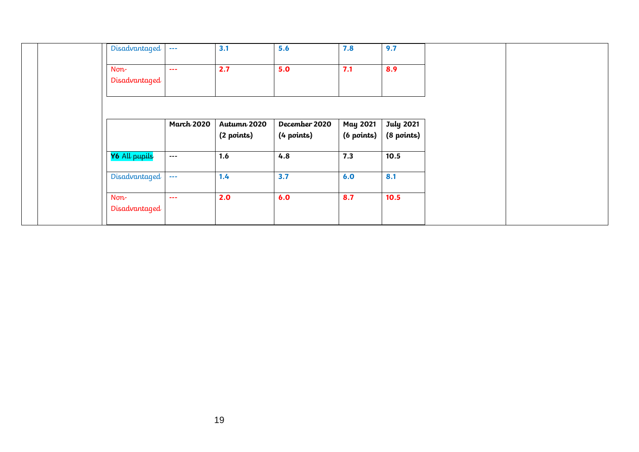|                | Disadvantaged | $\sim$ $\sim$ $\sim$ | 3.1                       | 5.6                         | 7.8                           | 9.7                            |
|----------------|---------------|----------------------|---------------------------|-----------------------------|-------------------------------|--------------------------------|
| $\mathsf{Non}$ | Disadvantaged | $\sim$ $\sim$ $\sim$ | 2.7                       | 5.0                         | 7.1                           | 8.9                            |
|                |               |                      |                           |                             |                               |                                |
|                |               | <b>March 2020</b>    | Autumn 2020<br>(2 points) | December 2020<br>(4 points) | <b>May 2021</b><br>(6 points) | <b>July 2021</b><br>(8 points) |
|                | Y6 All pupils | $\qquad \qquad -$    | 1.6                       | 4.8                         | 7.3                           | 10.5                           |
|                | Disadvantaged | $\sim$ $\sim$ $\sim$ | 1.4                       | 3.7                         | 6.0                           | 8.1                            |
| $Norm -$       | Disadvantaged | $\sim$ $\sim$ $\sim$ | 2.0                       | 6.0                         | 8.7                           | 10.5                           |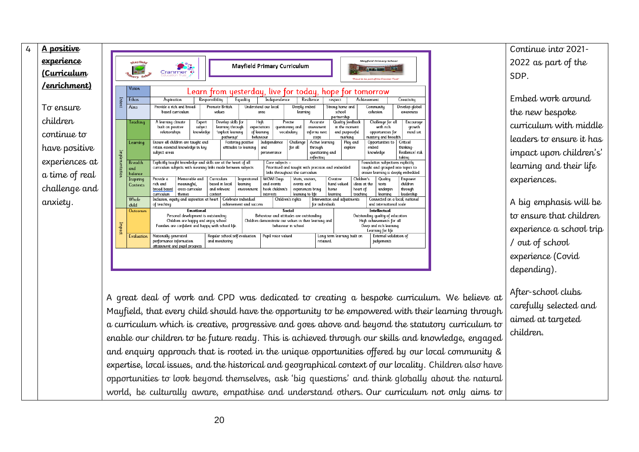| <u>A positive</u>   |                |                                  |                                                                                          |                                                                                                                                |                                                                                                                                               |                                                     |                                                 |                                                                                                          |                               |                                                     |                                                             |                                          |                                            |                                                                                                              |                                                                                                                              |                                                    |
|---------------------|----------------|----------------------------------|------------------------------------------------------------------------------------------|--------------------------------------------------------------------------------------------------------------------------------|-----------------------------------------------------------------------------------------------------------------------------------------------|-----------------------------------------------------|-------------------------------------------------|----------------------------------------------------------------------------------------------------------|-------------------------------|-----------------------------------------------------|-------------------------------------------------------------|------------------------------------------|--------------------------------------------|--------------------------------------------------------------------------------------------------------------|------------------------------------------------------------------------------------------------------------------------------|----------------------------------------------------|
| <u>experience</u>   |                | Asyfield                         |                                                                                          |                                                                                                                                |                                                                                                                                               |                                                     | <b>Mayfield Primary Curriculum</b>              |                                                                                                          |                               |                                                     |                                                             |                                          |                                            |                                                                                                              | <b>Mayfield Primary School</b>                                                                                               |                                                    |
| <u>(Curriculum</u>  |                | <b>Hary Sch</b>                  | Cranmer                                                                                  |                                                                                                                                |                                                                                                                                               |                                                     |                                                 |                                                                                                          |                               |                                                     |                                                             |                                          |                                            |                                                                                                              | 'Proud to be part of the Cranmer Trust                                                                                       |                                                    |
| <u>/enrichment)</u> |                | Vision                           |                                                                                          |                                                                                                                                | Learn from yesterday, live for today, hope for tomorrow                                                                                       |                                                     |                                                 |                                                                                                          |                               |                                                     |                                                             |                                          |                                            |                                                                                                              |                                                                                                                              |                                                    |
|                     | Intent         | Ethos                            | Aspiration                                                                               |                                                                                                                                | Responsibility                                                                                                                                |                                                     | Equality                                        |                                                                                                          | Independence                  |                                                     | Resilience                                                  | respect                                  |                                            | Achievement                                                                                                  |                                                                                                                              | Creativity                                         |
| To ensure           |                | Aims                             | Provide a rich and broad-<br>based curriculum                                            |                                                                                                                                |                                                                                                                                               | <b>Promote British</b><br>values                    |                                                 | Understand our local<br>area                                                                             |                               | Deeply embed<br>learning                            |                                                             | Strong home and<br>school                |                                            | Community<br>coheston                                                                                        |                                                                                                                              | Develop global<br>awareness                        |
| children            |                | Teaching                         | A learning climate                                                                       |                                                                                                                                | Expert                                                                                                                                        | Develop skills for                                  |                                                 | High                                                                                                     | Precise                       |                                                     | Accurate                                                    | partnership                              | <b>Quality feedback</b>                    |                                                                                                              | Challenge for all                                                                                                            | Encourage                                          |
| continue to         |                |                                  | built on positive<br>relationships                                                       |                                                                                                                                | subject<br>knowledge                                                                                                                          | learning through<br>'explicit learning<br>pathwaus' |                                                 | expectations<br>of learning<br>behavtour                                                                 | questioning and<br>vocabulary |                                                     | assessment<br><b>Informs</b> next<br>steps                  |                                          | In the moment<br>and purposeful<br>marking |                                                                                                              | with rich<br>opportunities for<br>mastery and breadth                                                                        | growth<br>mind set                                 |
| have positive       |                | Learning                         | Ensure all children are taught and<br>retain essential knowledge in key<br>subject areas |                                                                                                                                |                                                                                                                                               |                                                     | Fostering positive<br>attitudes to learning     | Independence<br>and<br>perseverance                                                                      |                               | Challenge<br>for all                                | Active learning<br>through<br>questioning and<br>reflecting |                                          | Play and<br>explore                        | embed                                                                                                        | Opportunities to<br>knowledge                                                                                                | Critical<br>thinking-<br>Restlience/rtsk<br>takina |
| experiences at      | Implementation | <b>Breadth</b><br>and<br>balance |                                                                                          | Explicitly taught knowledge and skills are at the heart of all<br>curriculum subjects with meaning links made between subjects |                                                                                                                                               |                                                     |                                                 | Core subjects -<br>Prioritised and taught with precision and embedded<br>links throughout the curriculum |                               |                                                     |                                                             |                                          |                                            | Foundation subjections explicitly<br>taught and grouped into topics to<br>ensure learning is deeply embedded |                                                                                                                              |                                                    |
| a time of real      |                | Inspiring                        | Provide a                                                                                | Memorable and                                                                                                                  |                                                                                                                                               | Curriculum                                          | Inspirational                                   | <b>WOW! Days</b>                                                                                         |                               | Visits, visitors,                                   |                                                             | Creative                                 |                                            | Children's                                                                                                   | Quality                                                                                                                      | Empower                                            |
| challenge and       |                | Contexts                         | rich and<br>broad based<br>curriculum                                                    | meaningful.<br>cross-curricular<br>themes                                                                                      | context                                                                                                                                       | based in local<br>and relevant                      | learning<br>environment                         | and events<br>hook children's<br><b>Interests</b>                                                        |                               | events and<br>experiences bring<br>learning to life |                                                             | hand valued<br>home<br>learning          |                                            | ideas at the<br>heart of<br>teaching                                                                         | texts<br>underpin<br>learning                                                                                                | children<br>through<br>leadership                  |
| anxiety.            |                | Whole<br>child                   | Inclusion, equity and aspiration at heart<br>of teaching                                 |                                                                                                                                |                                                                                                                                               |                                                     | Celebrate Individual<br>achievement and success |                                                                                                          | Children's rights             |                                                     | for <i>individuals</i>                                      | Intervention and adjustments             |                                            |                                                                                                              | and international scale                                                                                                      | Connected on a local, national                     |
|                     | Impact         | <b>Outcomes</b>                  |                                                                                          |                                                                                                                                | Emotional<br>Personal development is outstanding<br>Children are happy and enjoy school<br>Families are confident and happy with school life. |                                                     |                                                 | Behaviour and attitudes are outstanding                                                                  | Social<br>behaviour in school |                                                     | Children demonstrate our values in their learning and       |                                          |                                            |                                                                                                              | Intellectual<br>Outstanding quality of education<br>High achievements for all<br>Deep and rich learning<br>Learning for life |                                                    |
|                     |                | <b>Evaluation</b>                | Nationally generated<br>performance information<br>attainment and pupil progress         |                                                                                                                                |                                                                                                                                               | Regular school self-evaluation<br>and monitoring    |                                                 | Pupil voice valued                                                                                       |                               |                                                     |                                                             | Long term learning built on<br>retained. |                                            | External validation of<br><b>Judgements</b>                                                                  |                                                                                                                              |                                                    |

A great deal of work and CPD was dedicated to creating a bespoke curriculum. We believe at Mayfield, that every child should have the opportunity to be empowered with their learning through a curriculum which is creative, progressive and goes above and beyond the statutory curriculum to enable our children to be future ready. This is achieved through our skills and knowledge, engaged and enquiry approach that is rooted in the unique opportunities offered by our local community & expertise, local issues, and the historical and geographical context of our locality. Children also have opportunities to look beyond themselves, ask 'big questions' and think globally about the natural world, be culturally aware, empathise and understand others. Our curriculum not only aims to

Continue into 2021- 2022 as part of the SDP.

Embed work around the new bespoke curriculum with middle leaders to ensure it has impact upon children's' learning and their life experiences.

A big emphasis will be to ensure that children experience a school trip / out of school experience (Covid depending).

After-school clubs carefully selected and aimed at targeted children.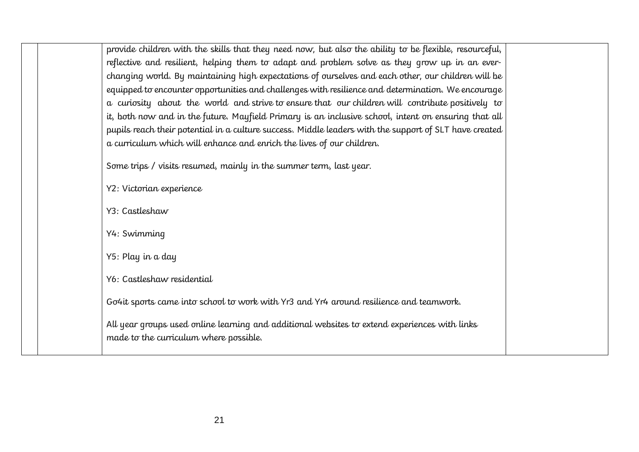| provide children with the skills that they need now, but also the ability to be flexible, resourceful, |
|--------------------------------------------------------------------------------------------------------|
| reflective and resilient, helping them to adapt and problem solve as they grow up in an ever-          |
| changing world. By maintaining high expectations of ourselves and each other, our children will be     |
| equipped to encounter opportunities and challenges with resilience and determination. We encourage     |
| a curiosity about the world and strive to ensure that our children will contribute positively to       |
| it, both now and in the future. Mayfield Primary is an inclusive school, intent on ensuring that all   |
| pupils reach their potential in a culture success. Middle leaders with the support of SLT have created |
| a curriculum which will enhance and enrich the lives of our children.                                  |
|                                                                                                        |
| Some trips / visits resumed, mainly in the summer term, last year.                                     |
| Y2: Victorian experience                                                                               |
|                                                                                                        |
| Y3: Castleshaw                                                                                         |
|                                                                                                        |
| Y4: Swimming                                                                                           |
| Y5: Play in a day                                                                                      |
|                                                                                                        |
| Y6: Castleshaw residential                                                                             |
|                                                                                                        |
| Go4it sports came into school to work with Yr3 and Yr4 around resilience and teamwork.                 |
| All year groups used online learning and additional websites to extend experiences with links          |
| made to the curriculum where possible.                                                                 |
|                                                                                                        |